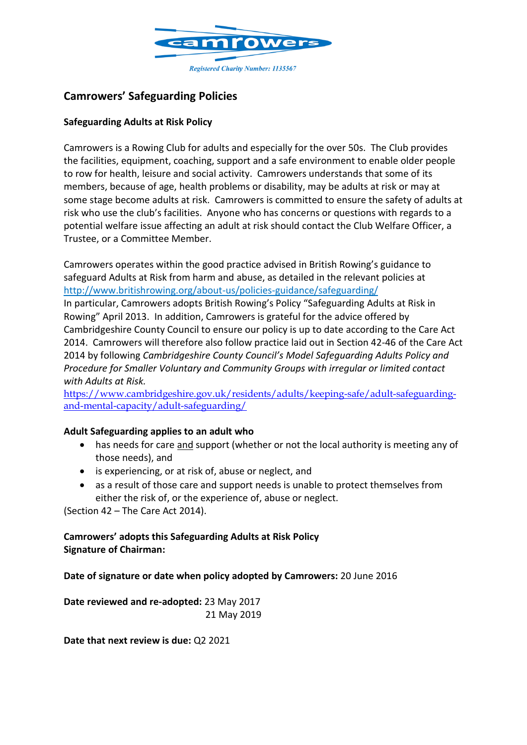

# **Camrowers' Safeguarding Policies**

### **Safeguarding Adults at Risk Policy**

Camrowers is a Rowing Club for adults and especially for the over 50s. The Club provides the facilities, equipment, coaching, support and a safe environment to enable older people to row for health, leisure and social activity. Camrowers understands that some of its members, because of age, health problems or disability, may be adults at risk or may at some stage become adults at risk. Camrowers is committed to ensure the safety of adults at risk who use the club's facilities. Anyone who has concerns or questions with regards to a potential welfare issue affecting an adult at risk should contact the Club Welfare Officer, a Trustee, or a Committee Member.

Camrowers operates within the good practice advised in British Rowing's guidance to safeguard Adults at Risk from harm and abuse, as detailed in the relevant policies at <http://www.britishrowing.org/about-us/policies-guidance/safeguarding/> In particular, Camrowers adopts British Rowing's Policy "Safeguarding Adults at Risk in Rowing" April 2013. In addition, Camrowers is grateful for the advice offered by Cambridgeshire County Council to ensure our policy is up to date according to the Care Act 2014. Camrowers will therefore also follow practice laid out in Section 42-46 of the Care Act 2014 by following *Cambridgeshire County Council's Model Safeguarding Adults Policy and Procedure for Smaller Voluntary and Community Groups with irregular or limited contact with Adults at Risk.*

[https://www.cambridgeshire.gov.uk/residents/adults/keeping-safe/adult-safeguarding](https://www.cambridgeshire.gov.uk/residents/adults/keeping-safe/adult-safeguarding-and-mental-capacity/adult-safeguarding/)[and-mental-capacity/adult-safeguarding/](https://www.cambridgeshire.gov.uk/residents/adults/keeping-safe/adult-safeguarding-and-mental-capacity/adult-safeguarding/)

#### **Adult Safeguarding applies to an adult who**

- has needs for care and support (whether or not the local authority is meeting any of those needs), and
- is experiencing, or at risk of, abuse or neglect, and
- as a result of those care and support needs is unable to protect themselves from either the risk of, or the experience of, abuse or neglect.

(Section 42 – The Care Act 2014).

## **Camrowers' adopts this Safeguarding Adults at Risk Policy Signature of Chairman:**

**Date of signature or date when policy adopted by Camrowers:** 20 June 2016

**Date reviewed and re-adopted:** 23 May 2017 21 May 2019

**Date that next review is due:** Q2 2021